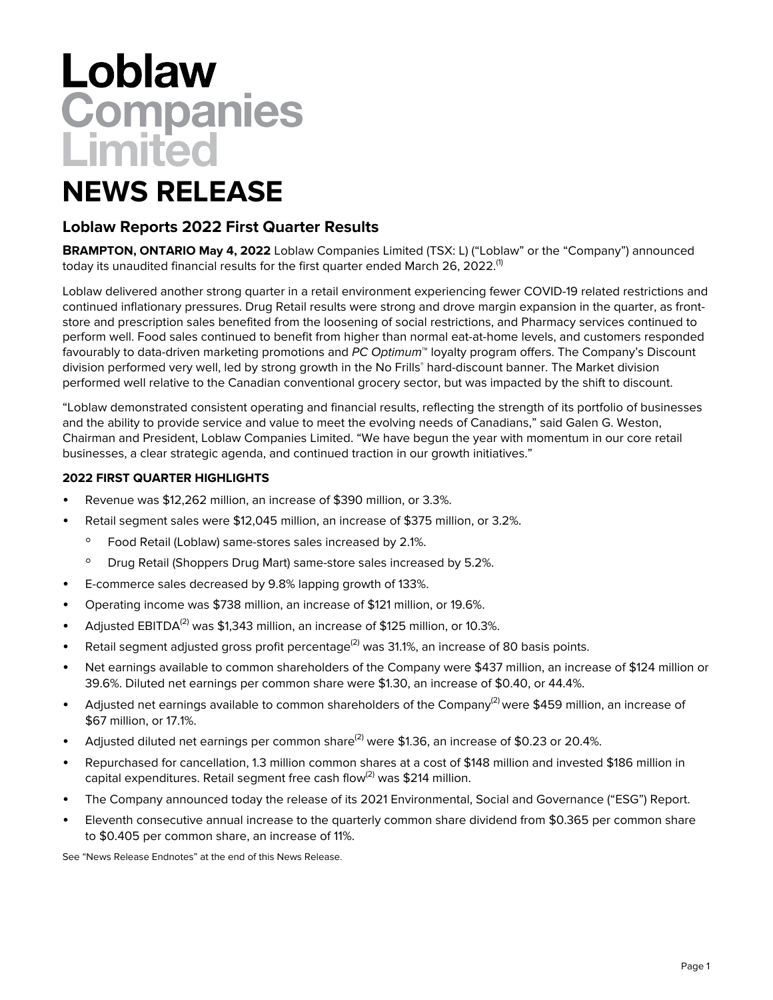# Loblaw<br>Companies<br>Limited

# **NEWS RELEASE**

# **Loblaw Reports 2022 First Quarter Results**

**BRAMPTON, ONTARIO May 4, 2022** Loblaw Companies Limited (TSX: L) ("Loblaw" or the "Company") announced today its unaudited financial results for the first quarter ended March 26, 2022. $^{\text{\tiny{(1)}}}$ 

Loblaw delivered another strong quarter in a retail environment experiencing fewer COVID-19 related restrictions and continued inflationary pressures. Drug Retail results were strong and drove margin expansion in the quarter, as frontstore and prescription sales benefited from the loosening of social restrictions, and Pharmacy services continued to perform well. Food sales continued to benefit from higher than normal eat-at-home levels, and customers responded favourably to data-driven marketing promotions and PC Optimum™ loyalty program offers. The Company's Discount division performed very well, led by strong growth in the No Frills® hard-discount banner. The Market division performed well relative to the Canadian conventional grocery sector, but was impacted by the shift to discount.

"Loblaw demonstrated consistent operating and financial results, reflecting the strength of its portfolio of businesses and the ability to provide service and value to meet the evolving needs of Canadians," said Galen G. Weston, Chairman and President, Loblaw Companies Limited. "We have begun the year with momentum in our core retail businesses, a clear strategic agenda, and continued traction in our growth initiatives."

#### **2022 FIRST QUARTER HIGHLIGHTS**

- Revenue was \$12,262 million, an increase of \$390 million, or 3.3%.
- Retail segment sales were \$12,045 million, an increase of \$375 million, or 3.2%.
	- Food Retail (Loblaw) same-stores sales increased by 2.1%.
	- Drug Retail (Shoppers Drug Mart) same-store sales increased by 5.2%.
- E-commerce sales decreased by 9.8% lapping growth of 133%.
- Operating income was \$738 million, an increase of \$121 million, or 19.6%.
- Adjusted EBITDA<sup>(2)</sup> was \$1,343 million, an increase of \$125 million, or 10.3%.
- Retail segment adjusted gross profit percentage<sup>(2)</sup> was 31.1%, an increase of 80 basis points.
- Net earnings available to common shareholders of the Company were \$437 million, an increase of \$124 million or 39.6%. Diluted net earnings per common share were \$1.30, an increase of \$0.40, or 44.4%.
- Adjusted net earnings available to common shareholders of the Company<sup>(2)</sup> were \$459 million, an increase of \$67 million, or 17.1%.
- Adjusted diluted net earnings per common share<sup>(2)</sup> were \$1.36, an increase of \$0.23 or 20.4%.
- Repurchased for cancellation, 1.3 million common shares at a cost of \$148 million and invested \$186 million in capital expenditures. Retail segment free cash flow<sup>(2)</sup> was \$214 million.
- The Company announced today the release of its 2021 Environmental, Social and Governance ("ESG") Report.
- Eleventh consecutive annual increase to the quarterly common share dividend from \$0.365 per common share to \$0.405 per common share, an increase of 11%.

See "News Release Endnotes" at the end of this News Release.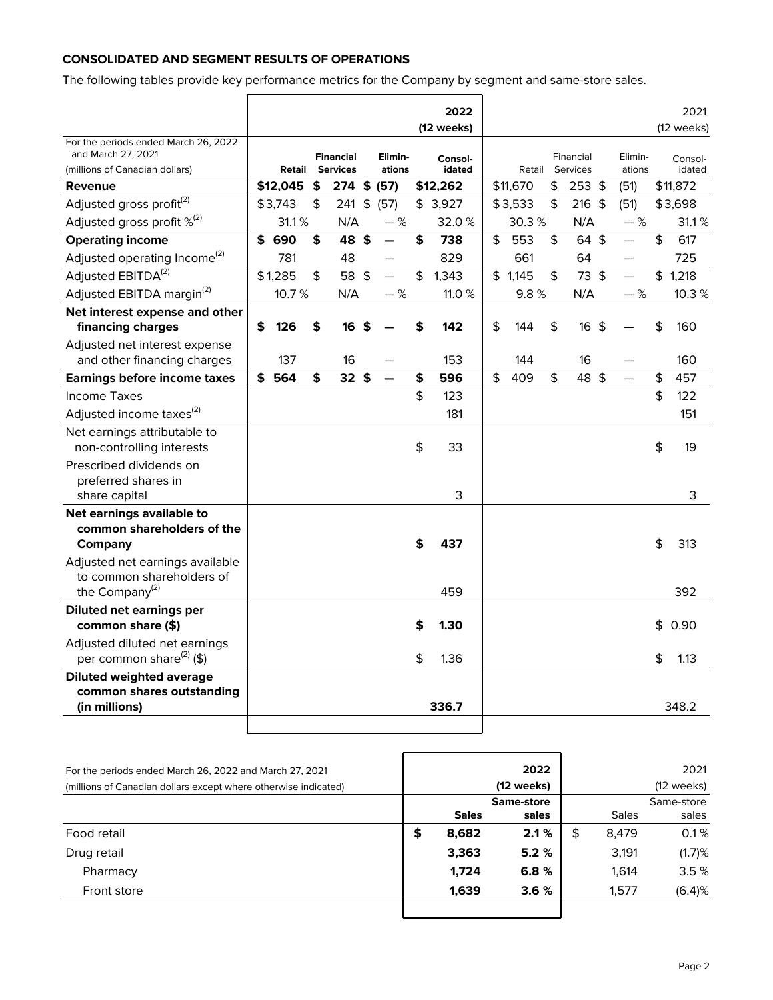## **CONSOLIDATED AND SEGMENT RESULTS OF OPERATIONS**

The following tables provide key performance metrics for the Company by segment and same-store sales.

|                                                                                              |           |                                     |                           |                   |                    | 2022<br>(12 weeks) |           |                       |     |                   | 2021<br>(12 weeks) |
|----------------------------------------------------------------------------------------------|-----------|-------------------------------------|---------------------------|-------------------|--------------------|--------------------|-----------|-----------------------|-----|-------------------|--------------------|
| For the periods ended March 26, 2022<br>and March 27, 2021<br>(millions of Canadian dollars) | Retail    | <b>Financial</b><br><b>Services</b> |                           | Elimin-<br>ations |                    | Consol-<br>idated  | Retail    | Financial<br>Services |     | Elimin-<br>ations | Consol-<br>idated  |
| <b>Revenue</b>                                                                               | \$12,045  | \$<br>274 \$ (57)                   |                           |                   |                    | \$12,262           | \$11,670  | \$<br>$253$ \$        |     | (51)              | \$11,872           |
| Adjusted gross profit <sup>(2)</sup>                                                         | \$3,743   | \$<br>241                           | $\frac{1}{2}$             | (57)              |                    | \$3,927            | \$3,533   | \$<br>$216$ \$        |     | (51)              | \$3,698            |
| Adjusted gross profit $\%^{(2)}$                                                             | 31.1%     | N/A                                 |                           | $-$ %             |                    | 32.0%              | 30.3%     | N/A                   |     | $-$ %             | 31.1%              |
| <b>Operating income</b>                                                                      | \$<br>690 | \$<br>48                            | $\boldsymbol{\hat{5}}$    |                   | \$                 | 738                | \$<br>553 | \$<br>64 \$           |     |                   | \$<br>617          |
| Adjusted operating Income <sup>(2)</sup>                                                     | 781       | 48                                  |                           |                   |                    | 829                | 661       | 64                    |     |                   | 725                |
| Adjusted EBITDA <sup>(2)</sup>                                                               | \$1,285   | \$<br>58                            | $\boldsymbol{\hat{\phi}}$ |                   | $\mathbf{\hat{z}}$ | 1,343              | \$1,145   | \$<br>73 \$           |     |                   | \$<br>1,218        |
| Adjusted EBITDA margin <sup>(2)</sup>                                                        | 10.7%     | N/A                                 |                           | $-$ %             |                    | 11.0 %             | 9.8%      | N/A                   |     | $-$ %             | 10.3%              |
| Net interest expense and other                                                               |           |                                     |                           |                   |                    |                    |           |                       |     |                   |                    |
| financing charges                                                                            | \$<br>126 | \$<br>16                            | \$                        |                   | \$                 | 142                | \$<br>144 | \$<br>16              | -\$ |                   | \$<br>160          |
| Adjusted net interest expense                                                                |           |                                     |                           |                   |                    |                    |           |                       |     |                   |                    |
| and other financing charges                                                                  | 137       | 16                                  |                           |                   |                    | 153                | 144       | 16                    |     |                   | 160                |
| Earnings before income taxes                                                                 | \$ 564    | \$<br>$32$ \$                       |                           |                   | \$                 | 596                | \$<br>409 | \$<br>48 \$           |     |                   | \$<br>457          |
| <b>Income Taxes</b>                                                                          |           |                                     |                           |                   | \$                 | 123                |           |                       |     |                   | \$<br>122          |
| Adjusted income taxes <sup>(2)</sup>                                                         |           |                                     |                           |                   |                    | 181                |           |                       |     |                   | 151                |
| Net earnings attributable to<br>non-controlling interests                                    |           |                                     |                           |                   | \$                 | 33                 |           |                       |     |                   | \$<br>19           |
| Prescribed dividends on                                                                      |           |                                     |                           |                   |                    |                    |           |                       |     |                   |                    |
| preferred shares in                                                                          |           |                                     |                           |                   |                    |                    |           |                       |     |                   |                    |
| share capital                                                                                |           |                                     |                           |                   |                    | 3                  |           |                       |     |                   | 3                  |
| Net earnings available to                                                                    |           |                                     |                           |                   |                    |                    |           |                       |     |                   |                    |
| common shareholders of the                                                                   |           |                                     |                           |                   |                    |                    |           |                       |     |                   |                    |
| Company                                                                                      |           |                                     |                           |                   | \$                 | 437                |           |                       |     |                   | \$<br>313          |
| Adjusted net earnings available<br>to common shareholders of                                 |           |                                     |                           |                   |                    |                    |           |                       |     |                   |                    |
| the Company <sup>(2)</sup>                                                                   |           |                                     |                           |                   |                    | 459                |           |                       |     |                   | 392                |
| Diluted net earnings per                                                                     |           |                                     |                           |                   |                    |                    |           |                       |     |                   |                    |
| common share (\$)                                                                            |           |                                     |                           |                   | \$                 | 1.30               |           |                       |     |                   | \$<br>0.90         |
| Adjusted diluted net earnings<br>per common share <sup>(2)</sup> (\$)                        |           |                                     |                           |                   | \$                 | 1.36               |           |                       |     |                   | \$<br>1.13         |
| Diluted weighted average                                                                     |           |                                     |                           |                   |                    |                    |           |                       |     |                   |                    |
| common shares outstanding                                                                    |           |                                     |                           |                   |                    |                    |           |                       |     |                   |                    |
| (in millions)                                                                                |           |                                     |                           |                   |                    | 336.7              |           |                       |     |                   | 348.2              |
|                                                                                              |           |                                     |                           |                   |                    |                    |           |                       |     |                   |                    |

| For the periods ended March 26, 2022 and March 27, 2021<br>(millions of Canadian dollars except where otherwise indicated) |              | 2022<br>(12 weeks) |             | 2021<br>(12 weeks) |
|----------------------------------------------------------------------------------------------------------------------------|--------------|--------------------|-------------|--------------------|
|                                                                                                                            |              | Same-store         |             | Same-store         |
|                                                                                                                            | <b>Sales</b> | sales              | Sales       | sales              |
| Food retail                                                                                                                | \$<br>8,682  | 2.1%               | \$<br>8.479 | 0.1%               |
| Drug retail                                                                                                                | 3,363        | 5.2%               | 3,191       | (1.7)%             |
| Pharmacy                                                                                                                   | 1.724        | 6.8%               | 1.614       | 3.5%               |
| Front store                                                                                                                | 1,639        | 3.6%               | 1,577       | (6.4)%             |
|                                                                                                                            |              |                    |             |                    |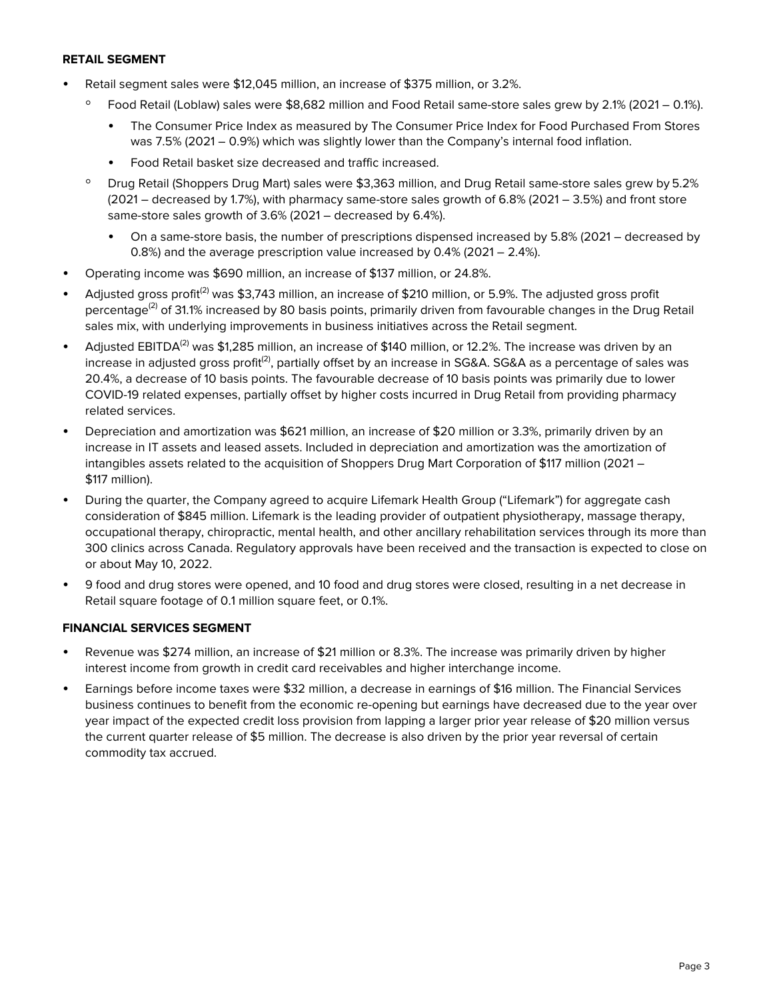#### **RETAIL SEGMENT**

- Retail segment sales were \$12,045 million, an increase of \$375 million, or 3.2%.
	- Food Retail (Loblaw) sales were \$8,682 million and Food Retail same-store sales grew by 2.1% (2021 0.1%).
		- The Consumer Price Index as measured by The Consumer Price Index for Food Purchased From Stores was 7.5% (2021 – 0.9%) which was slightly lower than the Company's internal food inflation.
		- Food Retail basket size decreased and traffic increased.
	- Drug Retail (Shoppers Drug Mart) sales were \$3,363 million, and Drug Retail same-store sales grew by 5.2% (2021 – decreased by 1.7%), with pharmacy same-store sales growth of 6.8% (2021 – 3.5%) and front store same-store sales growth of 3.6% (2021 – decreased by 6.4%).
		- On a same-store basis, the number of prescriptions dispensed increased by 5.8% (2021 decreased by 0.8%) and the average prescription value increased by 0.4% (2021 – 2.4%).
- Operating income was \$690 million, an increase of \$137 million, or 24.8%.
- Adjusted gross profit<sup>(2)</sup> was \$3,743 million, an increase of \$210 million, or 5.9%. The adjusted gross profit percentage<sup>(2)</sup> of 31.1% increased by 80 basis points, primarily driven from favourable changes in the Drug Retail sales mix, with underlying improvements in business initiatives across the Retail segment.
- Adjusted EBITDA<sup>(2)</sup> was \$1,285 million, an increase of \$140 million, or 12.2%. The increase was driven by an increase in adjusted gross profit<sup>(2)</sup>, partially offset by an increase in SG&A. SG&A as a percentage of sales was 20.4%, a decrease of 10 basis points. The favourable decrease of 10 basis points was primarily due to lower COVID-19 related expenses, partially offset by higher costs incurred in Drug Retail from providing pharmacy related services.
- Depreciation and amortization was \$621 million, an increase of \$20 million or 3.3%, primarily driven by an increase in IT assets and leased assets. Included in depreciation and amortization was the amortization of intangibles assets related to the acquisition of Shoppers Drug Mart Corporation of \$117 million (2021 – \$117 million).
- During the quarter, the Company agreed to acquire Lifemark Health Group ("Lifemark") for aggregate cash consideration of \$845 million. Lifemark is the leading provider of outpatient physiotherapy, massage therapy, occupational therapy, chiropractic, mental health, and other ancillary rehabilitation services through its more than 300 clinics across Canada. Regulatory approvals have been received and the transaction is expected to close on or about May 10, 2022.
- 9 food and drug stores were opened, and 10 food and drug stores were closed, resulting in a net decrease in Retail square footage of 0.1 million square feet, or 0.1%.

#### **FINANCIAL SERVICES SEGMENT**

- Revenue was \$274 million, an increase of \$21 million or 8.3%. The increase was primarily driven by higher interest income from growth in credit card receivables and higher interchange income.
- Earnings before income taxes were \$32 million, a decrease in earnings of \$16 million. The Financial Services business continues to benefit from the economic re-opening but earnings have decreased due to the year over year impact of the expected credit loss provision from lapping a larger prior year release of \$20 million versus the current quarter release of \$5 million. The decrease is also driven by the prior year reversal of certain commodity tax accrued.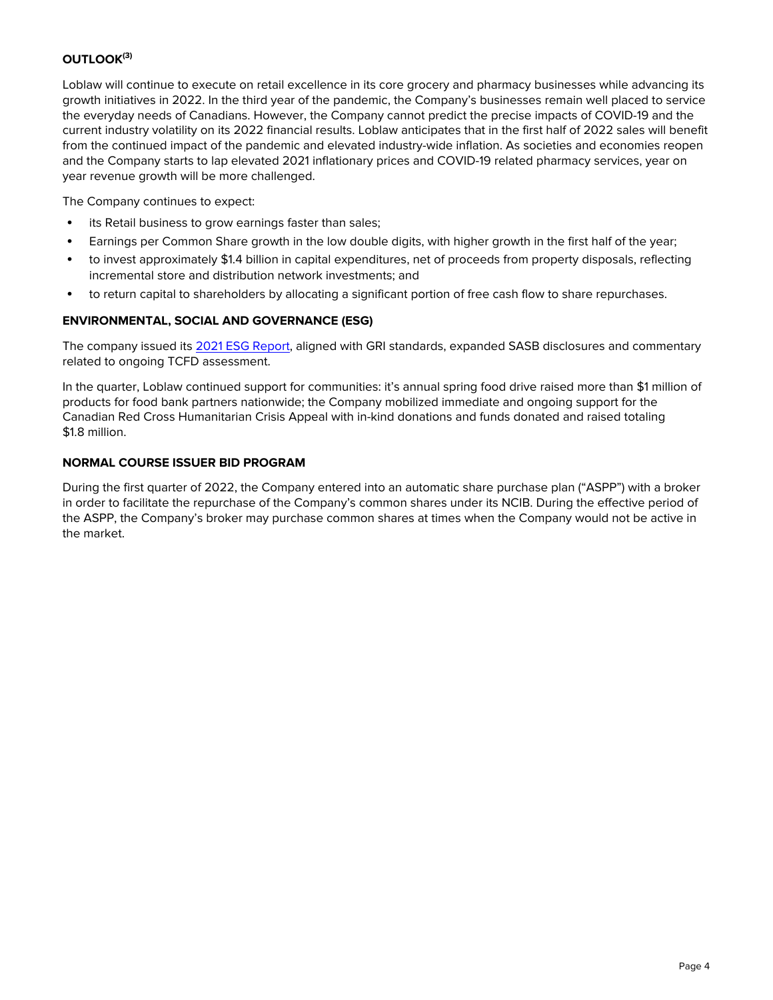# **OUTLOOK(3)**

Loblaw will continue to execute on retail excellence in its core grocery and pharmacy businesses while advancing its growth initiatives in 2022. In the third year of the pandemic, the Company's businesses remain well placed to service the everyday needs of Canadians. However, the Company cannot predict the precise impacts of COVID-19 and the current industry volatility on its 2022 financial results. Loblaw anticipates that in the first half of 2022 sales will benefit from the continued impact of the pandemic and elevated industry-wide inflation. As societies and economies reopen and the Company starts to lap elevated 2021 inflationary prices and COVID-19 related pharmacy services, year on year revenue growth will be more challenged.

The Company continues to expect:

- its Retail business to grow earnings faster than sales;
- Earnings per Common Share growth in the low double digits, with higher growth in the first half of the year;
- to invest approximately \$1.4 billion in capital expenditures, net of proceeds from property disposals, reflecting incremental store and distribution network investments; and
- to return capital to shareholders by allocating a significant portion of free cash flow to share repurchases.

### **ENVIRONMENTAL, SOCIAL AND GOVERNANCE (ESG)**

The company issued its [2021 ESG Report,](https://www.loblaw.ca/en/responsibility) aligned with GRI standards, expanded SASB disclosures and commentary related to ongoing TCFD assessment.

In the quarter, Loblaw continued support for communities: it's annual spring food drive raised more than \$1 million of products for food bank partners nationwide; the Company mobilized immediate and ongoing support for the Canadian Red Cross Humanitarian Crisis Appeal with in-kind donations and funds donated and raised totaling \$1.8 million.

#### **NORMAL COURSE ISSUER BID PROGRAM**

During the first quarter of 2022, the Company entered into an automatic share purchase plan ("ASPP") with a broker in order to facilitate the repurchase of the Company's common shares under its NCIB. During the effective period of the ASPP, the Company's broker may purchase common shares at times when the Company would not be active in the market.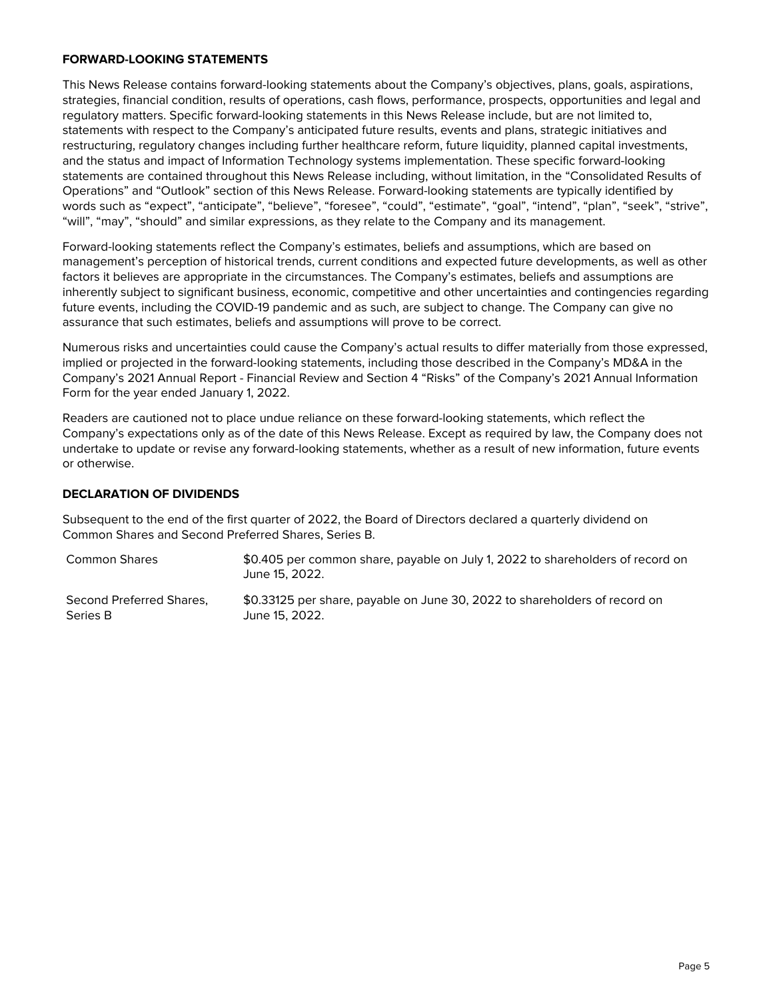#### **FORWARD-LOOKING STATEMENTS**

This News Release contains forward-looking statements about the Company's objectives, plans, goals, aspirations, strategies, financial condition, results of operations, cash flows, performance, prospects, opportunities and legal and regulatory matters. Specific forward-looking statements in this News Release include, but are not limited to, statements with respect to the Company's anticipated future results, events and plans, strategic initiatives and restructuring, regulatory changes including further healthcare reform, future liquidity, planned capital investments, and the status and impact of Information Technology systems implementation. These specific forward-looking statements are contained throughout this News Release including, without limitation, in the "Consolidated Results of Operations" and "Outlook" section of this News Release. Forward-looking statements are typically identified by words such as "expect", "anticipate", "believe", "foresee", "could", "estimate", "goal", "intend", "plan", "seek", "strive", "will", "may", "should" and similar expressions, as they relate to the Company and its management.

Forward-looking statements reflect the Company's estimates, beliefs and assumptions, which are based on management's perception of historical trends, current conditions and expected future developments, as well as other factors it believes are appropriate in the circumstances. The Company's estimates, beliefs and assumptions are inherently subject to significant business, economic, competitive and other uncertainties and contingencies regarding future events, including the COVID-19 pandemic and as such, are subject to change. The Company can give no assurance that such estimates, beliefs and assumptions will prove to be correct.

Numerous risks and uncertainties could cause the Company's actual results to differ materially from those expressed, implied or projected in the forward-looking statements, including those described in the Company's MD&A in the Company's 2021 Annual Report - Financial Review and Section 4 "Risks" of the Company's 2021 Annual Information Form for the year ended January 1, 2022.

Readers are cautioned not to place undue reliance on these forward-looking statements, which reflect the Company's expectations only as of the date of this News Release. Except as required by law, the Company does not undertake to update or revise any forward-looking statements, whether as a result of new information, future events or otherwise.

#### **DECLARATION OF DIVIDENDS**

Subsequent to the end of the first quarter of 2022, the Board of Directors declared a quarterly dividend on Common Shares and Second Preferred Shares, Series B.

Common Shares \$0.405 per common share, payable on July 1, 2022 to shareholders of record on June 15, 2022. Second Preferred Shares, Series B \$0.33125 per share, payable on June 30, 2022 to shareholders of record on June 15, 2022.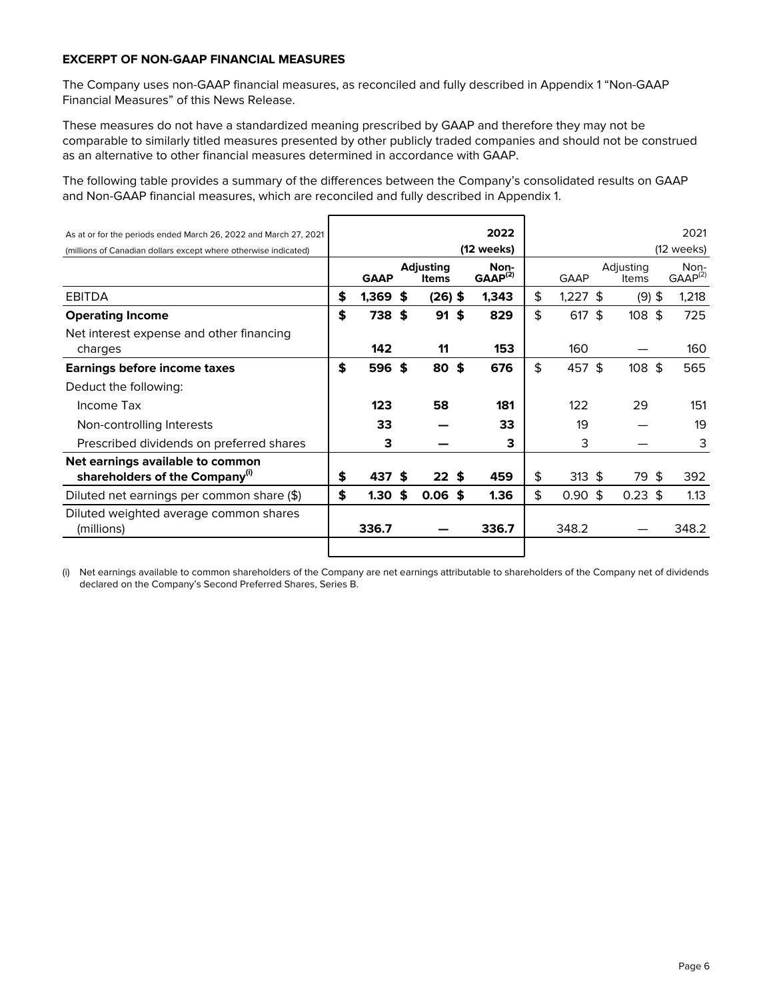#### **EXCERPT OF NON-GAAP FINANCIAL MEASURES**

The Company uses non-GAAP financial measures, as reconciled and fully described in Appendix 1 "Non-GAAP Financial Measures" of this News Release.

These measures do not have a standardized meaning prescribed by GAAP and therefore they may not be comparable to similarly titled measures presented by other publicly traded companies and should not be construed as an alternative to other financial measures determined in accordance with GAAP.

The following table provides a summary of the differences between the Company's consolidated results on GAAP and Non-GAAP financial measures, which are reconciled and fully described in Appendix 1.

| As at or for the periods ended March 26, 2022 and March 27, 2021               |                         |    |                                  | 2022                        | 2021 |             |                    |                  |  |                      |
|--------------------------------------------------------------------------------|-------------------------|----|----------------------------------|-----------------------------|------|-------------|--------------------|------------------|--|----------------------|
| (millions of Canadian dollars except where otherwise indicated)                |                         |    |                                  | (12 weeks)                  |      |             |                    |                  |  | (12 weeks)           |
|                                                                                | <b>GAAP</b>             |    | <b>Adjusting</b><br><b>Items</b> | Non-<br>GAAP <sup>(2)</sup> |      | <b>GAAP</b> | Adjusting<br>Items |                  |  | Non-<br>$GAAP^{(2)}$ |
| EBITDA                                                                         | \$<br>$1,369$ \$        |    | $(26)$ \$                        | 1,343                       | \$   | $1,227$ \$  |                    | $(9)$ \$         |  | 1,218                |
| <b>Operating Income</b>                                                        | \$<br>738\$             |    | $91$ \$                          | 829                         | \$   | $617$ \$    |                    | 108 <sup>5</sup> |  | 725                  |
| Net interest expense and other financing<br>charges                            | 142                     |    | 11                               | 153                         |      | 160         |                    |                  |  | 160                  |
| Earnings before income taxes                                                   | \$<br>596 \$            |    | $80$ \$                          | 676                         | \$   | 457 \$      |                    | 108 <sup>5</sup> |  | 565                  |
| Deduct the following:                                                          |                         |    |                                  |                             |      |             |                    |                  |  |                      |
| Income Tax                                                                     | 123                     |    | 58                               | 181                         |      | 122         |                    | 29               |  | 151                  |
| Non-controlling Interests                                                      | 33                      |    |                                  | 33                          |      | 19          |                    |                  |  | 19                   |
| Prescribed dividends on preferred shares                                       | 3                       |    |                                  | з                           |      | 3           |                    |                  |  | 3                    |
| Net earnings available to common<br>shareholders of the Company <sup>(i)</sup> | \$<br>437               | S  | 22 <sub>5</sub>                  | 459                         | \$   | $313$ \$    |                    | 79 \$            |  | 392                  |
| Diluted net earnings per common share (\$)                                     | \$<br>1.30 <sub>1</sub> | \$ | $0.06$ \$                        | 1.36                        | \$   | 0.90~\$     |                    | $0.23$ \$        |  | 1.13                 |
| Diluted weighted average common shares<br>(millions)                           | 336.7                   |    |                                  | 336.7                       |      | 348.2       |                    |                  |  | 348.2                |
|                                                                                |                         |    |                                  |                             |      |             |                    |                  |  |                      |

(i) Net earnings available to common shareholders of the Company are net earnings attributable to shareholders of the Company net of dividends declared on the Company's Second Preferred Shares, Series B.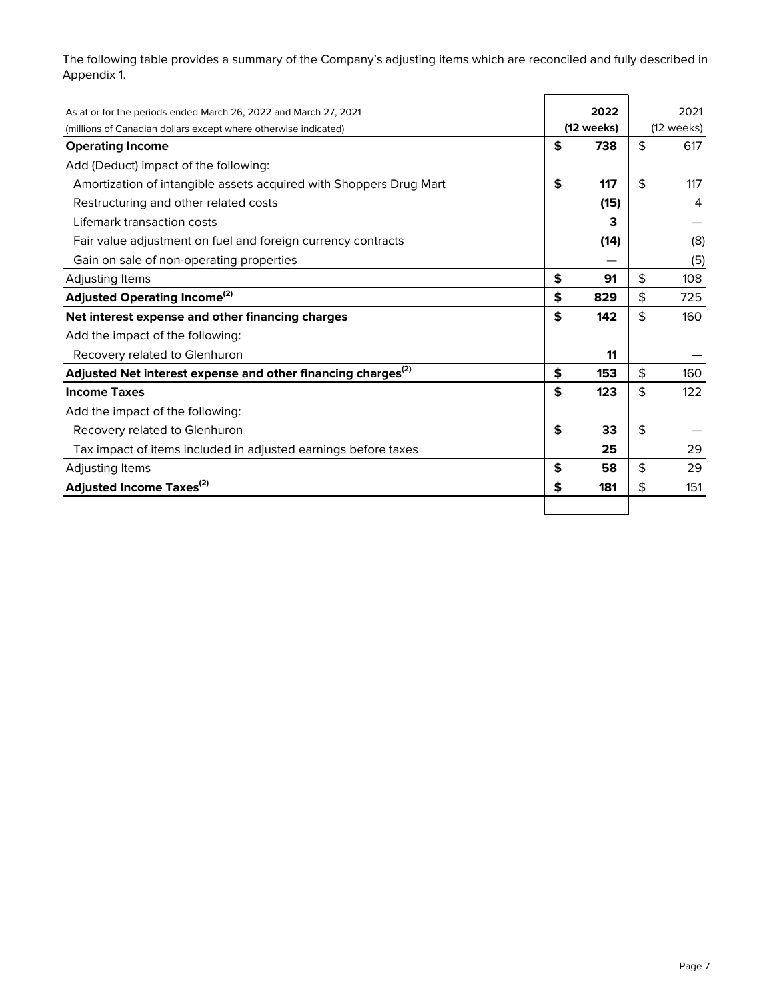The following table provides a summary of the Company's adjusting items which are reconciled and fully described in Appendix 1.

 $\blacksquare$ 

| As at or for the periods ended March 26, 2022 and March 27, 2021         | 2022       | 2021       |
|--------------------------------------------------------------------------|------------|------------|
| (millions of Canadian dollars except where otherwise indicated)          | (12 weeks) | (12 weeks) |
| <b>Operating Income</b>                                                  | \$<br>738  | \$<br>617  |
| Add (Deduct) impact of the following:                                    |            |            |
| Amortization of intangible assets acquired with Shoppers Drug Mart       | \$<br>117  | \$<br>117  |
| Restructuring and other related costs                                    | (15)       | 4          |
| Lifemark transaction costs                                               |            |            |
| Fair value adjustment on fuel and foreign currency contracts             | (14)       | (8)        |
| Gain on sale of non-operating properties                                 |            | (5)        |
| Adjusting Items                                                          | \$<br>91   | \$<br>108  |
| <b>Adjusted Operating Income</b> <sup>(2)</sup>                          | \$<br>829  | \$<br>725  |
| Net interest expense and other financing charges                         | \$<br>142  | \$<br>160  |
| Add the impact of the following:                                         |            |            |
| Recovery related to Glenhuron                                            | 11         |            |
| Adjusted Net interest expense and other financing charges <sup>(2)</sup> | \$<br>153  | \$<br>160  |
| <b>Income Taxes</b>                                                      | \$<br>123  | \$<br>122  |
| Add the impact of the following:                                         |            |            |
| Recovery related to Glenhuron                                            | \$<br>33   | \$         |
| Tax impact of items included in adjusted earnings before taxes           | 25         | 29         |
| Adjusting Items                                                          | \$<br>58   | \$<br>29   |
| Adjusted Income Taxes <sup>(2)</sup>                                     | \$<br>181  | \$<br>151  |
|                                                                          |            |            |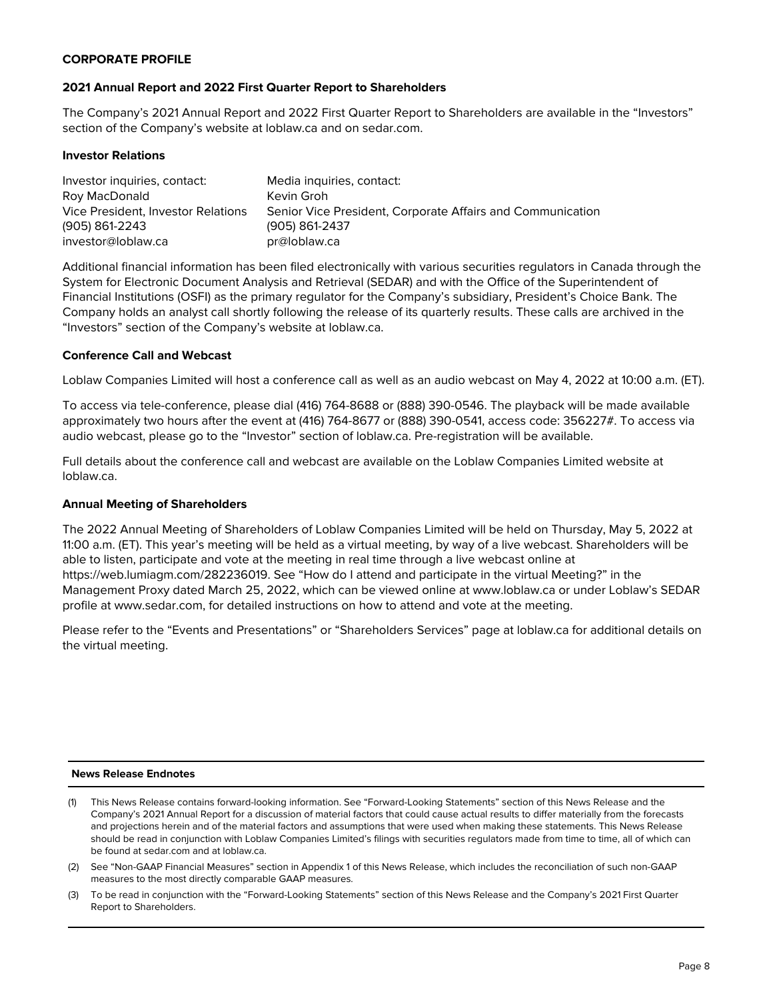#### **CORPORATE PROFILE**

#### **2021 Annual Report and 2022 First Quarter Report to Shareholders**

The Company's 2021 Annual Report and 2022 First Quarter Report to Shareholders are available in the "Investors" section of the Company's website at loblaw.ca and on sedar.com.

#### **Investor Relations**

| Investor inquiries, contact:       | Media inquiries, contact:                                  |
|------------------------------------|------------------------------------------------------------|
| Roy MacDonald                      | Kevin Groh                                                 |
| Vice President. Investor Relations | Senior Vice President, Corporate Affairs and Communication |
| (905) 861-2243                     | $(905) 861 - 2437$                                         |
| investor@loblaw.ca                 | pr@loblaw.ca                                               |

Additional financial information has been filed electronically with various securities regulators in Canada through the System for Electronic Document Analysis and Retrieval (SEDAR) and with the Office of the Superintendent of Financial Institutions (OSFI) as the primary regulator for the Company's subsidiary, President's Choice Bank. The Company holds an analyst call shortly following the release of its quarterly results. These calls are archived in the "Investors" section of the Company's website at loblaw.ca.

#### **Conference Call and Webcast**

Loblaw Companies Limited will host a conference call as well as an audio webcast on May 4, 2022 at 10:00 a.m. (ET).

To access via tele-conference, please dial (416) 764-8688 or (888) 390-0546. The playback will be made available approximately two hours after the event at (416) 764-8677 or (888) 390-0541, access code: 356227#. To access via audio webcast, please go to the "Investor" section of loblaw.ca. Pre-registration will be available.

Full details about the conference call and webcast are available on the Loblaw Companies Limited website at loblaw.ca.

#### **Annual Meeting of Shareholders**

The 2022 Annual Meeting of Shareholders of Loblaw Companies Limited will be held on Thursday, May 5, 2022 at 11:00 a.m. (ET). This year's meeting will be held as a virtual meeting, by way of a live webcast. Shareholders will be able to listen, participate and vote at the meeting in real time through a live webcast online at https://web.lumiagm.com/282236019. See "How do I attend and participate in the virtual Meeting?" in the Management Proxy dated March 25, 2022, which can be viewed online at www.loblaw.ca or under Loblaw's SEDAR profile at www.sedar.com, for detailed instructions on how to attend and vote at the meeting.

Please refer to the "Events and Presentations" or "Shareholders Services" page at loblaw.ca for additional details on the virtual meeting.

#### **News Release Endnotes**

- (1) This News Release contains forward-looking information. See "Forward-Looking Statements" section of this News Release and the Company's 2021 Annual Report for a discussion of material factors that could cause actual results to differ materially from the forecasts and projections herein and of the material factors and assumptions that were used when making these statements. This News Release should be read in conjunction with Loblaw Companies Limited's filings with securities regulators made from time to time, all of which can be found at sedar.com and at loblaw.ca.
- (2) See "Non-GAAP Financial Measures" section in Appendix 1 of this News Release, which includes the reconciliation of such non-GAAP measures to the most directly comparable GAAP measures.
- (3) To be read in conjunction with the "Forward-Looking Statements" section of this News Release and the Company's 2021 First Quarter Report to Shareholders.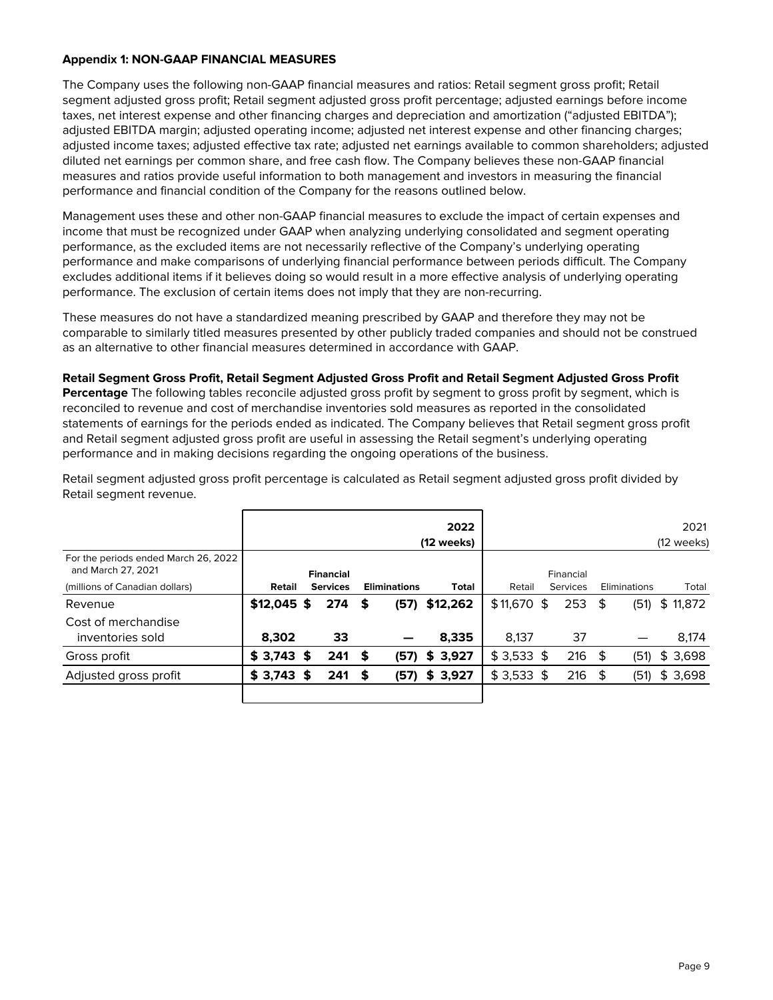#### **Appendix 1: NON-GAAP FINANCIAL MEASURES**

The Company uses the following non-GAAP financial measures and ratios: Retail segment gross profit; Retail segment adjusted gross profit; Retail segment adjusted gross profit percentage; adjusted earnings before income taxes, net interest expense and other financing charges and depreciation and amortization ("adjusted EBITDA"); adjusted EBITDA margin; adjusted operating income; adjusted net interest expense and other financing charges; adjusted income taxes; adjusted effective tax rate; adjusted net earnings available to common shareholders; adjusted diluted net earnings per common share, and free cash flow. The Company believes these non-GAAP financial measures and ratios provide useful information to both management and investors in measuring the financial performance and financial condition of the Company for the reasons outlined below.

Management uses these and other non-GAAP financial measures to exclude the impact of certain expenses and income that must be recognized under GAAP when analyzing underlying consolidated and segment operating performance, as the excluded items are not necessarily reflective of the Company's underlying operating performance and make comparisons of underlying financial performance between periods difficult. The Company excludes additional items if it believes doing so would result in a more effective analysis of underlying operating performance. The exclusion of certain items does not imply that they are non-recurring.

These measures do not have a standardized meaning prescribed by GAAP and therefore they may not be comparable to similarly titled measures presented by other publicly traded companies and should not be construed as an alternative to other financial measures determined in accordance with GAAP.

**Retail Segment Gross Profit, Retail Segment Adjusted Gross Profit and Retail Segment Adjusted Gross Profit Percentage** The following tables reconcile adjusted gross profit by segment to gross profit by segment, which is reconciled to revenue and cost of merchandise inventories sold measures as reported in the consolidated statements of earnings for the periods ended as indicated. The Company believes that Retail segment gross profit and Retail segment adjusted gross profit are useful in assessing the Retail segment's underlying operating performance and in making decisions regarding the ongoing operations of the business.

|                                                            |              |    |                  |   |                     | 2022<br>(12 weeks) |              | (12 weeks) |           |   |              |  |          |  |  |  |
|------------------------------------------------------------|--------------|----|------------------|---|---------------------|--------------------|--------------|------------|-----------|---|--------------|--|----------|--|--|--|
| For the periods ended March 26, 2022<br>and March 27, 2021 |              |    | <b>Financial</b> |   |                     |                    |              |            | Financial |   |              |  |          |  |  |  |
| (millions of Canadian dollars)                             | Retail       |    | <b>Services</b>  |   | <b>Eliminations</b> | <b>Total</b>       | Retail       |            | Services  |   | Eliminations |  | Total    |  |  |  |
| Revenue                                                    | $$12,045$ \$ |    | 274              | S | (57)                | \$12,262           | $$11,670$ \$ |            | 253       | S | (51)         |  | \$11,872 |  |  |  |
| Cost of merchandise<br>inventories sold                    | 8,302        |    | 33               |   |                     | 8,335              | 8,137        |            | 37        |   |              |  | 8,174    |  |  |  |
| Gross profit                                               | $$3,743$ \$  |    | $241$ \$         |   | (57)                | \$3,927            | $$3,533$ \$  |            | $216$ \$  |   | (51)         |  | \$3,698  |  |  |  |
| Adjusted gross profit                                      | \$3,743      | -S | 241              |   | (57)                | \$3,927            | $$3,533$ \$  |            | $216$ \$  |   | (51)         |  | \$3,698  |  |  |  |
|                                                            |              |    |                  |   |                     |                    |              |            |           |   |              |  |          |  |  |  |

Retail segment adjusted gross profit percentage is calculated as Retail segment adjusted gross profit divided by Retail segment revenue.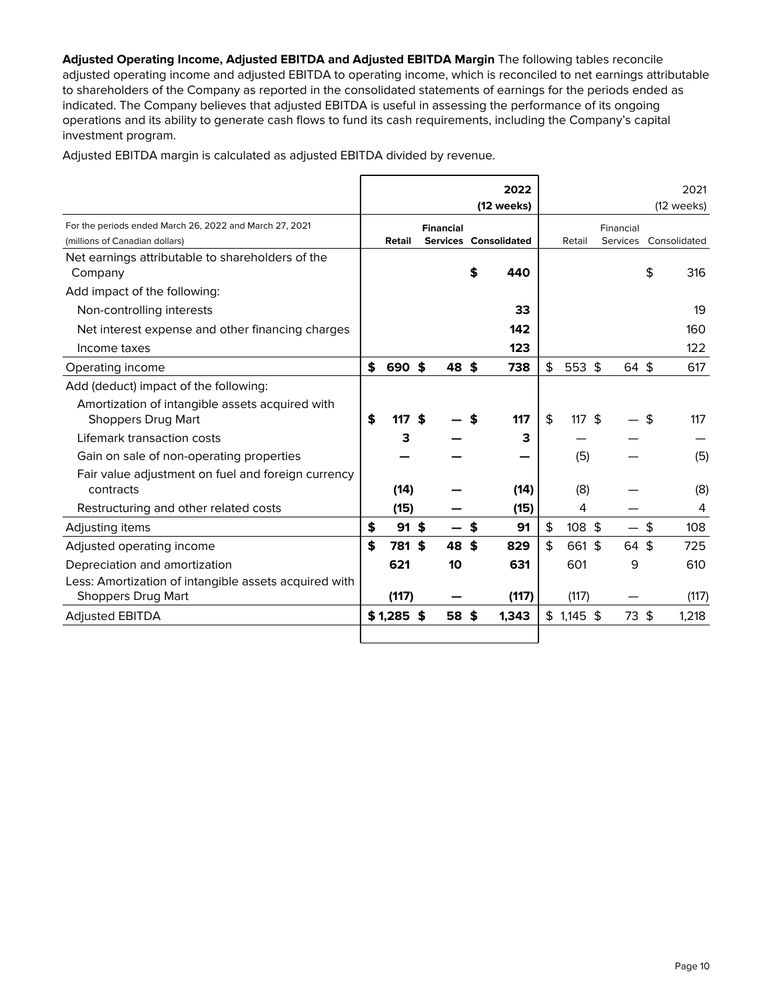**Adjusted Operating Income, Adjusted EBITDA and Adjusted EBITDA Margin** The following tables reconcile adjusted operating income and adjusted EBITDA to operating income, which is reconciled to net earnings attributable to shareholders of the Company as reported in the consolidated statements of earnings for the periods ended as indicated. The Company believes that adjusted EBITDA is useful in assessing the performance of its ongoing operations and its ability to generate cash flows to fund its cash requirements, including the Company's capital investment program.

Adjusted EBITDA margin is calculated as adjusted EBITDA divided by revenue.

|                                                                                    |               |                  |    | 2022                  |                 |           |    | 2021         |  |
|------------------------------------------------------------------------------------|---------------|------------------|----|-----------------------|-----------------|-----------|----|--------------|--|
|                                                                                    |               |                  |    | (12 weeks)            |                 |           |    | (12 weeks)   |  |
| For the periods ended March 26, 2022 and March 27, 2021                            |               | <b>Financial</b> |    |                       |                 | Financial |    |              |  |
| (millions of Canadian dollars)                                                     | Retail        |                  |    | Services Consolidated | Retail          | Services  |    | Consolidated |  |
| Net earnings attributable to shareholders of the<br>Company                        |               |                  | \$ | 440                   |                 |           | \$ | 316          |  |
| Add impact of the following:                                                       |               |                  |    |                       |                 |           |    |              |  |
| Non-controlling interests                                                          |               |                  |    | 33                    |                 |           |    | 19           |  |
| Net interest expense and other financing charges                                   |               |                  |    | 142                   |                 |           |    | 160          |  |
| Income taxes                                                                       |               |                  |    | 123                   |                 |           |    | 122          |  |
| Operating income                                                                   | \$<br>690     | \$<br>48         | \$ | 738                   | \$<br>$553$ \$  | 64 \$     |    | 617          |  |
| Add (deduct) impact of the following:                                              |               |                  |    |                       |                 |           |    |              |  |
| Amortization of intangible assets acquired with<br><b>Shoppers Drug Mart</b>       | \$<br>117     | \$               |    | 117                   | \$<br>$117.$ \$ |           | \$ | 117          |  |
| Lifemark transaction costs                                                         | з             |                  |    | З                     |                 |           |    |              |  |
| Gain on sale of non-operating properties                                           |               |                  |    |                       | (5)             |           |    | (5)          |  |
| Fair value adjustment on fuel and foreign currency<br>contracts                    | (14)          |                  |    | (14)                  | (8)             |           |    | (8)          |  |
| Restructuring and other related costs                                              | (15)          |                  |    | (15)                  | 4               |           |    | 4            |  |
| Adjusting items                                                                    | \$<br>$91$ \$ |                  | S  | 91                    | \$<br>$108$ \$  |           | \$ | 108          |  |
| Adjusted operating income                                                          | \$<br>781     | \$<br>48         | \$ | 829                   | \$<br>661 \$    | 64 \$     |    | 725          |  |
| Depreciation and amortization                                                      | 621           | 10               |    | 631                   | 601             | 9         |    | 610          |  |
| Less: Amortization of intangible assets acquired with<br><b>Shoppers Drug Mart</b> | (117)         |                  |    | (117)                 | (117)           |           |    | (117)        |  |
| <b>Adjusted EBITDA</b>                                                             | \$1,285       | \$<br>58         | \$ | 1,343                 | $$1,145$ \$     | 73 \$     |    | 1,218        |  |
|                                                                                    |               |                  |    |                       |                 |           |    |              |  |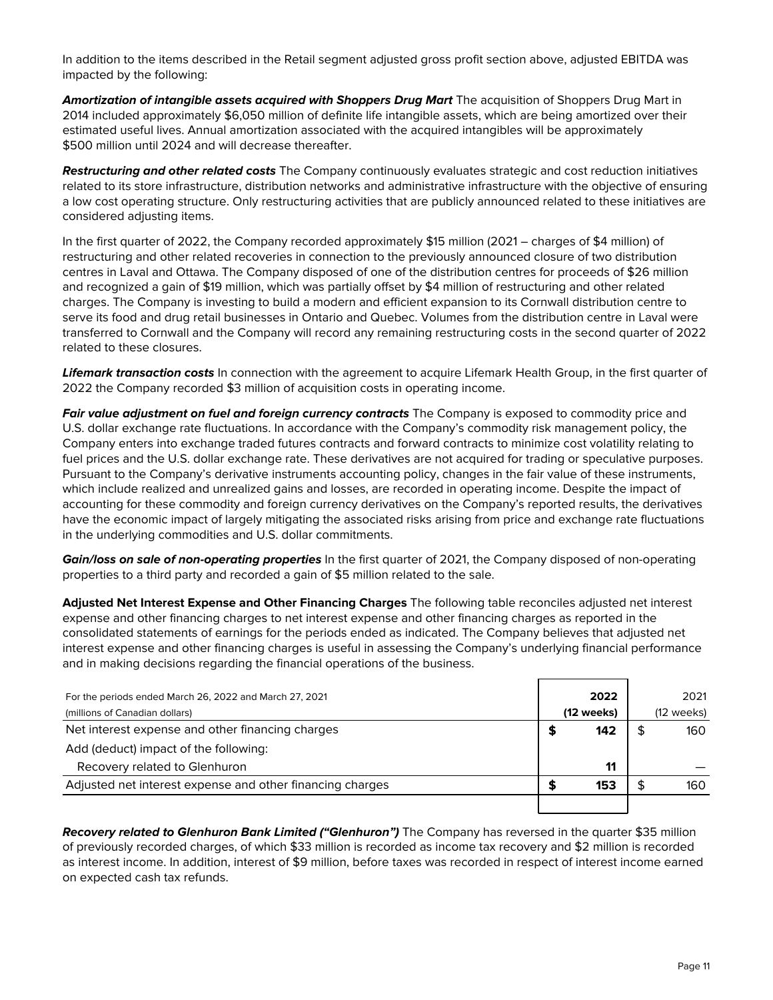In addition to the items described in the Retail segment adjusted gross profit section above, adjusted EBITDA was impacted by the following:

**Amortization of intangible assets acquired with Shoppers Drug Mart** The acquisition of Shoppers Drug Mart in 2014 included approximately \$6,050 million of definite life intangible assets, which are being amortized over their estimated useful lives. Annual amortization associated with the acquired intangibles will be approximately \$500 million until 2024 and will decrease thereafter.

**Restructuring and other related costs** The Company continuously evaluates strategic and cost reduction initiatives related to its store infrastructure, distribution networks and administrative infrastructure with the objective of ensuring a low cost operating structure. Only restructuring activities that are publicly announced related to these initiatives are considered adjusting items.

In the first quarter of 2022, the Company recorded approximately \$15 million (2021 – charges of \$4 million) of restructuring and other related recoveries in connection to the previously announced closure of two distribution centres in Laval and Ottawa. The Company disposed of one of the distribution centres for proceeds of \$26 million and recognized a gain of \$19 million, which was partially offset by \$4 million of restructuring and other related charges. The Company is investing to build a modern and efficient expansion to its Cornwall distribution centre to serve its food and drug retail businesses in Ontario and Quebec. Volumes from the distribution centre in Laval were transferred to Cornwall and the Company will record any remaining restructuring costs in the second quarter of 2022 related to these closures.

**Lifemark transaction costs** In connection with the agreement to acquire Lifemark Health Group, in the first quarter of 2022 the Company recorded \$3 million of acquisition costs in operating income.

**Fair value adjustment on fuel and foreign currency contracts** The Company is exposed to commodity price and U.S. dollar exchange rate fluctuations. In accordance with the Company's commodity risk management policy, the Company enters into exchange traded futures contracts and forward contracts to minimize cost volatility relating to fuel prices and the U.S. dollar exchange rate. These derivatives are not acquired for trading or speculative purposes. Pursuant to the Company's derivative instruments accounting policy, changes in the fair value of these instruments, which include realized and unrealized gains and losses, are recorded in operating income. Despite the impact of accounting for these commodity and foreign currency derivatives on the Company's reported results, the derivatives have the economic impact of largely mitigating the associated risks arising from price and exchange rate fluctuations in the underlying commodities and U.S. dollar commitments.

**Gain/loss on sale of non-operating properties** In the first quarter of 2021, the Company disposed of non-operating properties to a third party and recorded a gain of \$5 million related to the sale.

**Adjusted Net Interest Expense and Other Financing Charges** The following table reconciles adjusted net interest expense and other financing charges to net interest expense and other financing charges as reported in the consolidated statements of earnings for the periods ended as indicated. The Company believes that adjusted net interest expense and other financing charges is useful in assessing the Company's underlying financial performance and in making decisions regarding the financial operations of the business.

| For the periods ended March 26, 2022 and March 27, 2021   | 2022       | 2021                 |
|-----------------------------------------------------------|------------|----------------------|
| (millions of Canadian dollars)                            | (12 weeks) | $(12 \text{ weeks})$ |
| Net interest expense and other financing charges          | 142        | 160                  |
| Add (deduct) impact of the following:                     |            |                      |
| Recovery related to Glenhuron                             | 11         |                      |
| Adjusted net interest expense and other financing charges | 153        | 160                  |
|                                                           |            |                      |

**Recovery related to Glenhuron Bank Limited ("Glenhuron")** The Company has reversed in the quarter \$35 million of previously recorded charges, of which \$33 million is recorded as income tax recovery and \$2 million is recorded as interest income. In addition, interest of \$9 million, before taxes was recorded in respect of interest income earned on expected cash tax refunds.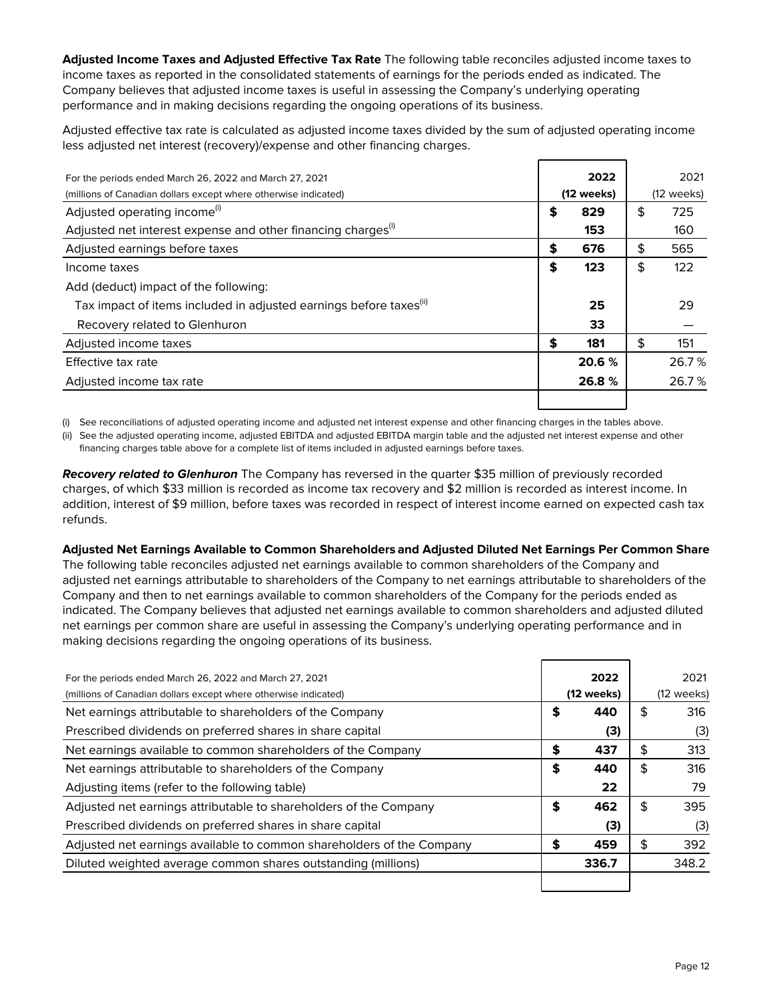**Adjusted Income Taxes and Adjusted Effective Tax Rate** The following table reconciles adjusted income taxes to income taxes as reported in the consolidated statements of earnings for the periods ended as indicated. The Company believes that adjusted income taxes is useful in assessing the Company's underlying operating performance and in making decisions regarding the ongoing operations of its business.

Adjusted effective tax rate is calculated as adjusted income taxes divided by the sum of adjusted operating income less adjusted net interest (recovery)/expense and other financing charges.

| For the periods ended March 26, 2022 and March 27, 2021                        | 2022       | 2021                 |
|--------------------------------------------------------------------------------|------------|----------------------|
| (millions of Canadian dollars except where otherwise indicated)                | (12 weeks) | $(12 \text{ weeks})$ |
| Adjusted operating income <sup>(i)</sup>                                       | \$<br>829  | \$<br>725            |
| Adjusted net interest expense and other financing charges <sup>(i)</sup>       | 153        | 160                  |
| Adjusted earnings before taxes                                                 | \$<br>676  | \$<br>565            |
| Income taxes                                                                   | \$<br>123  | \$<br>122            |
| Add (deduct) impact of the following:                                          |            |                      |
| Tax impact of items included in adjusted earnings before taxes <sup>(ii)</sup> | 25         | 29                   |
| Recovery related to Glenhuron                                                  | 33         |                      |
| Adjusted income taxes                                                          | \$<br>181  | \$<br>151            |
| Effective tax rate                                                             | 20.6 %     | 26.7%                |
| Adjusted income tax rate                                                       | 26.8%      | 26.7%                |
|                                                                                |            |                      |

(i) See reconciliations of adjusted operating income and adjusted net interest expense and other financing charges in the tables above.

(ii) See the adjusted operating income, adjusted EBITDA and adjusted EBITDA margin table and the adjusted net interest expense and other financing charges table above for a complete list of items included in adjusted earnings before taxes.

**Recovery related to Glenhuron** The Company has reversed in the quarter \$35 million of previously recorded charges, of which \$33 million is recorded as income tax recovery and \$2 million is recorded as interest income. In addition, interest of \$9 million, before taxes was recorded in respect of interest income earned on expected cash tax refunds.

**Adjusted Net Earnings Available to Common Shareholders and Adjusted Diluted Net Earnings Per Common Share** The following table reconciles adjusted net earnings available to common shareholders of the Company and adjusted net earnings attributable to shareholders of the Company to net earnings attributable to shareholders of the Company and then to net earnings available to common shareholders of the Company for the periods ended as indicated. The Company believes that adjusted net earnings available to common shareholders and adjusted diluted net earnings per common share are useful in assessing the Company's underlying operating performance and in making decisions regarding the ongoing operations of its business.

| For the periods ended March 26, 2022 and March 27, 2021               | 2022       |    | 2021                 |
|-----------------------------------------------------------------------|------------|----|----------------------|
| (millions of Canadian dollars except where otherwise indicated)       | (12 weeks) |    | $(12 \text{ weeks})$ |
| Net earnings attributable to shareholders of the Company              | \$<br>440  |    | 316                  |
| Prescribed dividends on preferred shares in share capital             | (3)        |    | (3)                  |
| Net earnings available to common shareholders of the Company          | \$<br>437  | \$ | 313                  |
| Net earnings attributable to shareholders of the Company              | \$<br>440  | S  | 316                  |
| Adjusting items (refer to the following table)                        | 22         |    | 79                   |
| Adjusted net earnings attributable to shareholders of the Company     | \$<br>462  | S  | 395                  |
| Prescribed dividends on preferred shares in share capital             | (3)        |    | (3)                  |
| Adjusted net earnings available to common shareholders of the Company | \$<br>459  | \$ | 392                  |
| Diluted weighted average common shares outstanding (millions)         | 336.7      |    | 348.2                |
|                                                                       |            |    |                      |